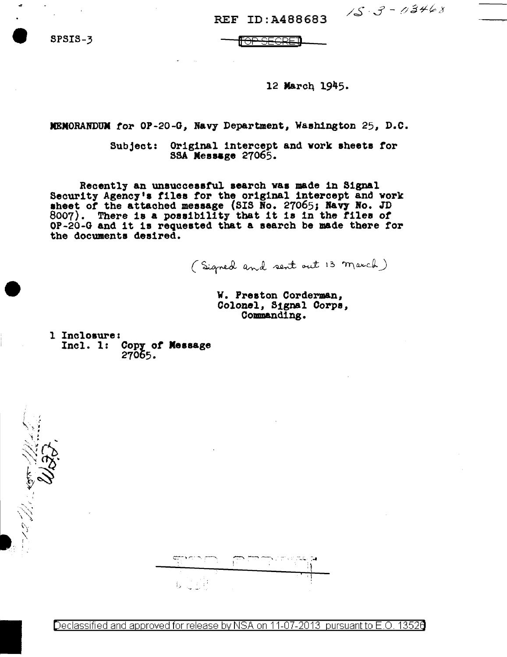REF ID: A488683

SPSIS-3

TOP SEGRED

# 12 March 1945.

 $15.3 - 03468$ 

MEMORANDUM for OP-20-G, Navy Department, Washington 25, D.C.

Subject: Original intercept and work sheets for SSA Message 27065.

Recently an unsuccessful search was made in Signal Security Agency's files for the original intercept and work sheet of the attached message (SIS No. 27065; Navy No. JD<br>8007). There is a possibility that it is in the files of OP-20-G and it is requested that a search be made there for the documents desired.

(Signed and sent out 13 march)

W. Preston Corderman. Colonel, Signal Corps. Commanding.

1 Inclosure: Incl.  $1:$ Copy of Message 27065.

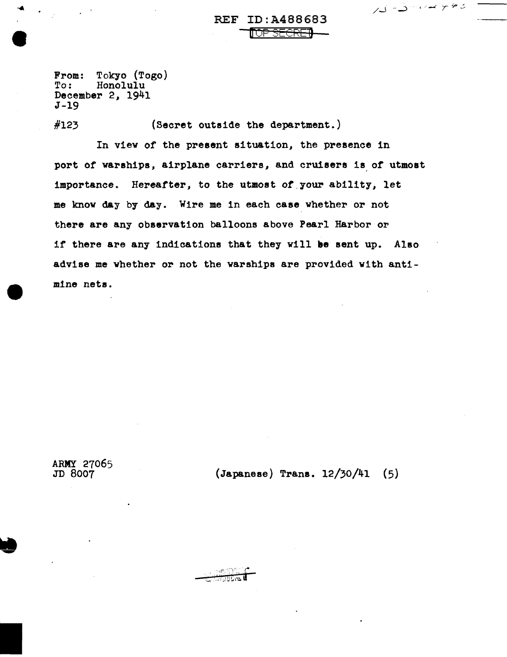رەپىيە سەسەت كەر

From: Tokyo (Togo)<br>To: Honolulu Honolulu December 2, 1941 J-19

#123 (Secret outside the department.)

In view of the present situation, the presence in port of warships, airplane carriers, and cruisers is of utmost importance. Hereafter, to the utmost of your ability, let me know day by day. Wire me in each ease whether or not there are any observation balloons above Pearl Harbor or if there are any indications that they will be sent up. Also advise me whether or not the warships are provided with antimine nets.

ARMY 27065<br>JD 8007

 $(Japanese)$  Trans.  $12/30/41$  (5)